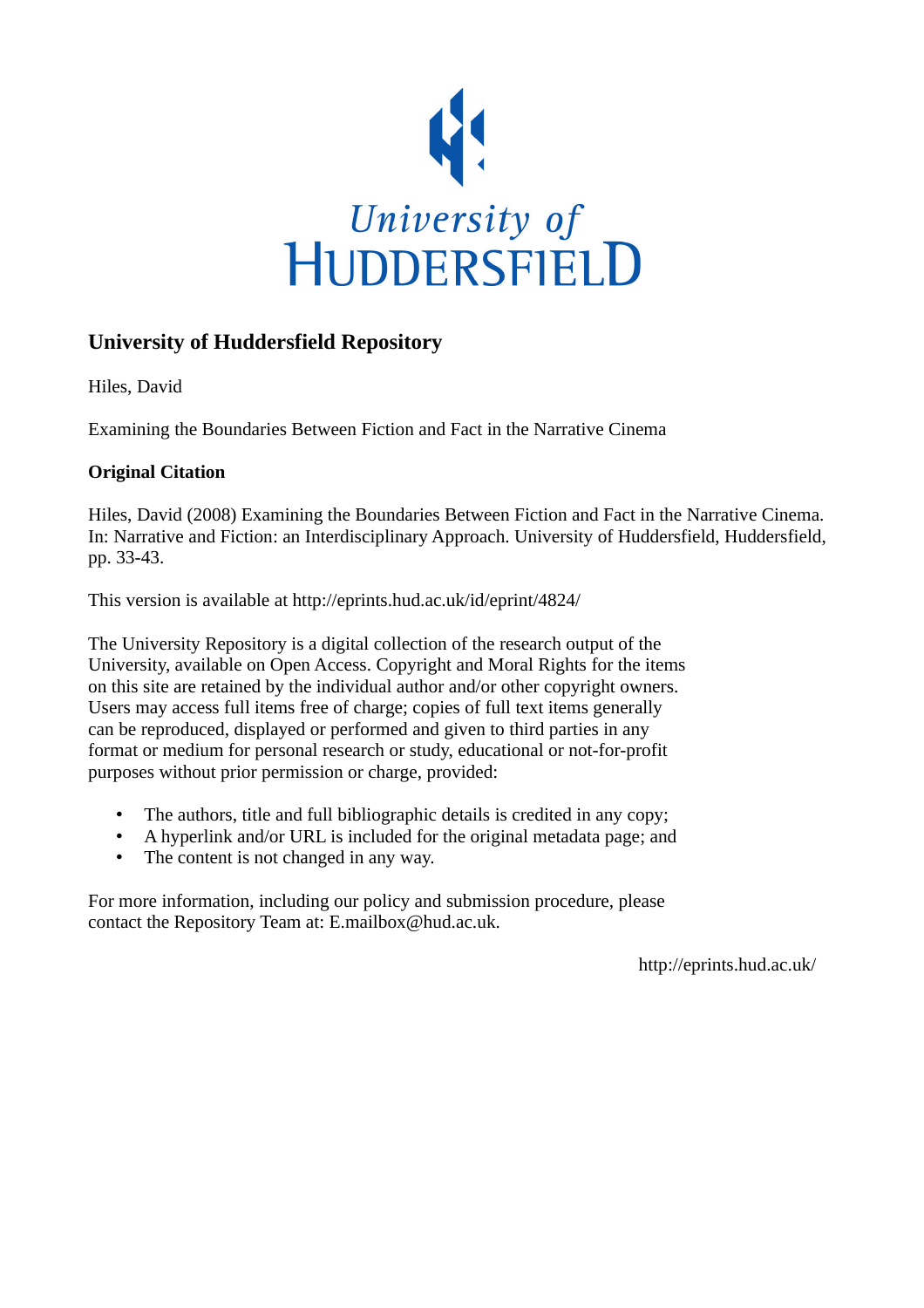

# **University of Huddersfield Repository**

Hiles, David

Examining the Boundaries Between Fiction and Fact in the Narrative Cinema

## **Original Citation**

Hiles, David (2008) Examining the Boundaries Between Fiction and Fact in the Narrative Cinema. In: Narrative and Fiction: an Interdisciplinary Approach. University of Huddersfield, Huddersfield, pp. 33-43.

This version is available at http://eprints.hud.ac.uk/id/eprint/4824/

The University Repository is a digital collection of the research output of the University, available on Open Access. Copyright and Moral Rights for the items on this site are retained by the individual author and/or other copyright owners. Users may access full items free of charge; copies of full text items generally can be reproduced, displayed or performed and given to third parties in any format or medium for personal research or study, educational or not-for-profit purposes without prior permission or charge, provided:

- The authors, title and full bibliographic details is credited in any copy;
- A hyperlink and/or URL is included for the original metadata page; and
- The content is not changed in any way.

For more information, including our policy and submission procedure, please contact the Repository Team at: E.mailbox@hud.ac.uk.

http://eprints.hud.ac.uk/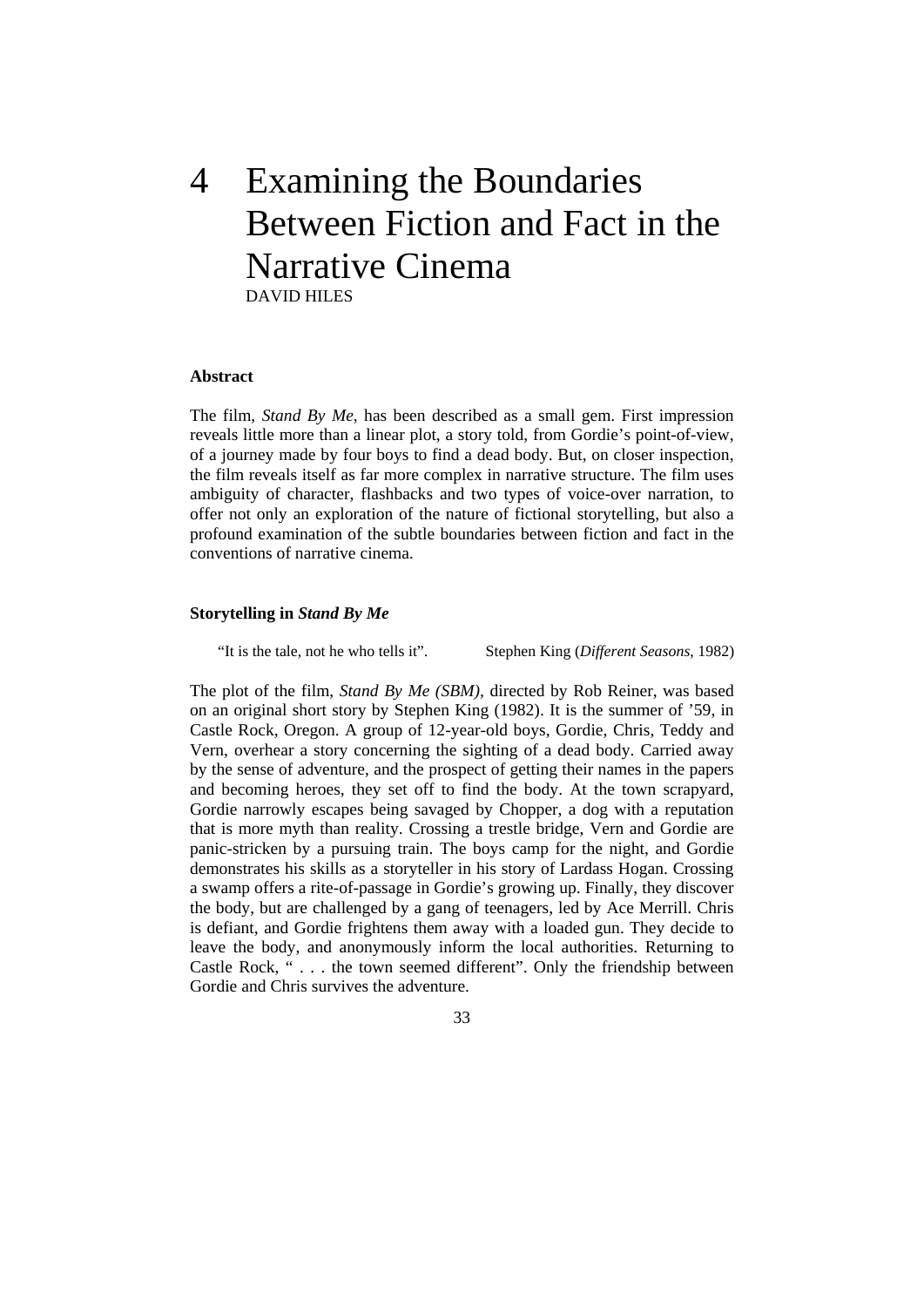# 4 Examining the Boundaries Between Fiction and Fact in the Narrative Cinema DAVID HILES

#### **bstract A**

profound examination of the subtle boundaries between fiction and fact in the conventions of narrative cinema. The film, *Stand By Me*, has been described as a small gem. First impression reveals little more than a linear plot, a story told, from Gordie's point-of-view, of a journey made by four boys to find a dead body. But, on closer inspection, the film reveals itself as far more complex in narrative structure. The film uses ambiguity of character, flashbacks and two types of voice-over narration, to offer not only an exploration of the nature of fictional storytelling, but also a

#### Storytelling in *Stand By Me*

"It is the tale, not he who tells it".

Stephen King (*Different Seasons*, 1982)

Castle Rock, "... the town seemed different". Only the friendship between Gordie and Chris survives the adventure. The plot of the film, *Stand By Me (SBM),* directed by Rob Reiner, was based on an original short story by Stephen King (1982). It is the summer of '59, in Castle Rock, Oregon. A group of 12-year-old boys, Gordie, Chris, Teddy and Vern, overhear a story concerning the sighting of a dead body. Carried away by the sense of adventure, and the prospect of getting their names in the papers and becoming heroes, they set off to find the body. At the town scrapyard, Gordie narrowly escapes being savaged by Chopper, a dog with a reputation that is more myth than reality. Crossing a trestle bridge, Vern and Gordie are panic-stricken by a pursuing train. The boys camp for the night, and Gordie demonstrates his skills as a storyteller in his story of Lardass Hogan. Crossing a swamp offers a rite-of-passage in Gordie's growing up. Finally, they discover the body, but are challenged by a gang of teenagers, led by Ace Merrill. Chris is defiant, and Gordie frightens them away with a loaded gun. They decide to leave the body, and anonymously inform the local authorities. Returning to

33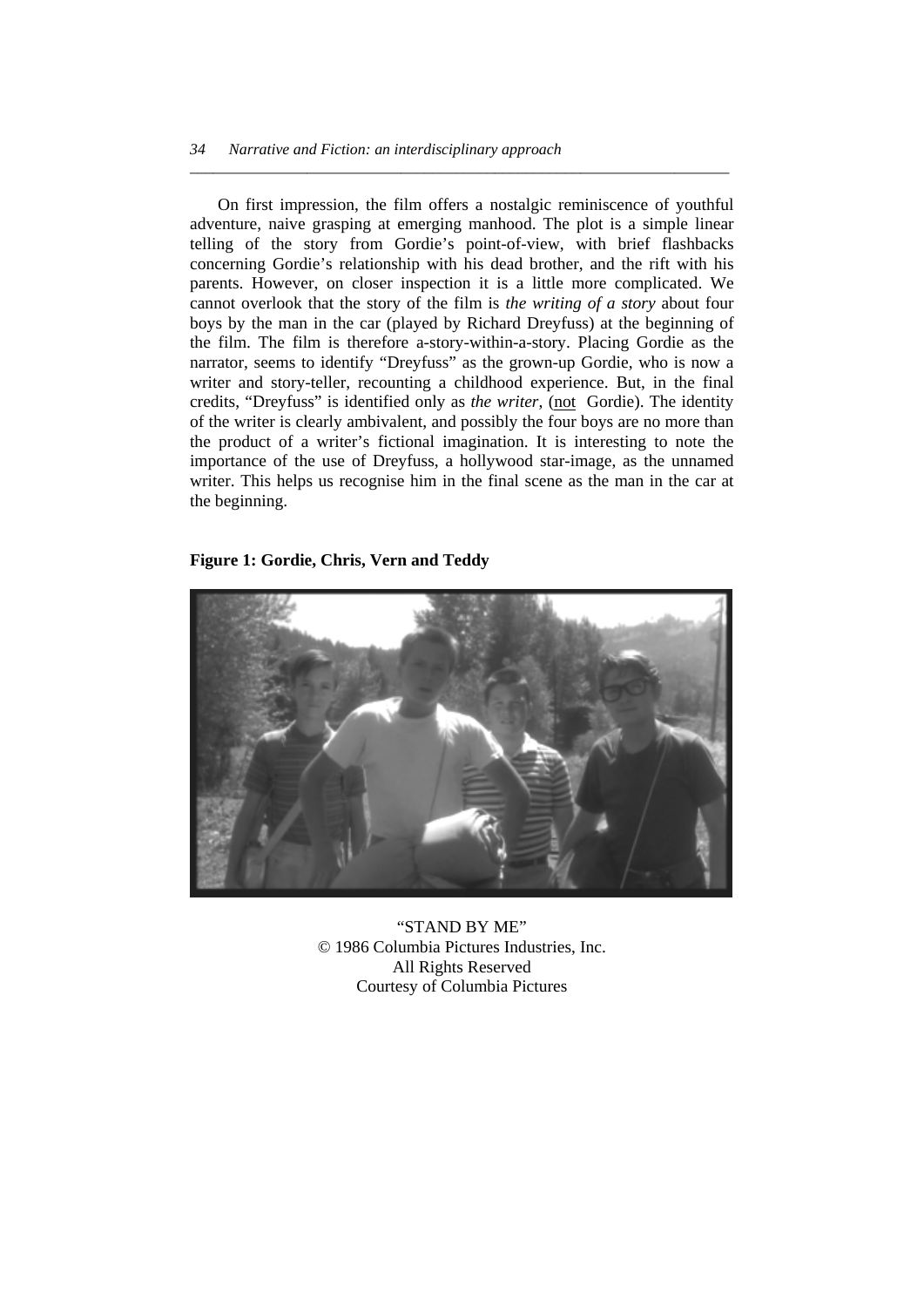On first impression, the film offers a nostalgic reminiscence of youthful adventure, naive grasping at emerging manhood. The plot is a simple linear telling of the story from Gordie's point-of-view, with brief flashbacks concerning Gordie's relationship with his dead brother, and the rift with his parents. However, on closer inspection it is a little more complicated. We cannot overlook that the story of the film is *the writing of a story* about four boys by the man in the car (played by Richard Dreyfuss) at the beginning of the film. The film is therefore a-story-within-a-story. Placing Gordie as the narrator, seems to identify "Dreyfuss" as the grown-up Gordie, who is now a writer and story-teller, recounting a childhood experience. But, in the final credits, "Dreyfuss" is identified only as *the writer*, (not Gordie). The identity of the writer is clearly ambivalent, and possibly the four boys are no more than the product of a writer's fictional imagination. It is interesting to note the importance of the use of Dreyfuss, a hollywood star-image, as the unnamed writer. This helps us recognise him in the final scene as the man in the car at the beginning.

*\_\_\_\_\_\_\_\_\_\_\_\_\_\_\_\_\_\_\_\_\_\_\_\_\_\_\_\_\_\_\_\_\_\_\_\_\_\_\_\_\_\_\_\_\_\_\_\_\_\_\_\_\_\_\_\_\_\_\_\_\_\_\_\_\_\_\_\_\_* 

### **Figure 1: Gordie, Chris, Vern and Teddy**



"STAND BY ME" © 1986 Columbia Pictures Industries, Inc. All Rights Reserved Courtesy of Columbia Pictures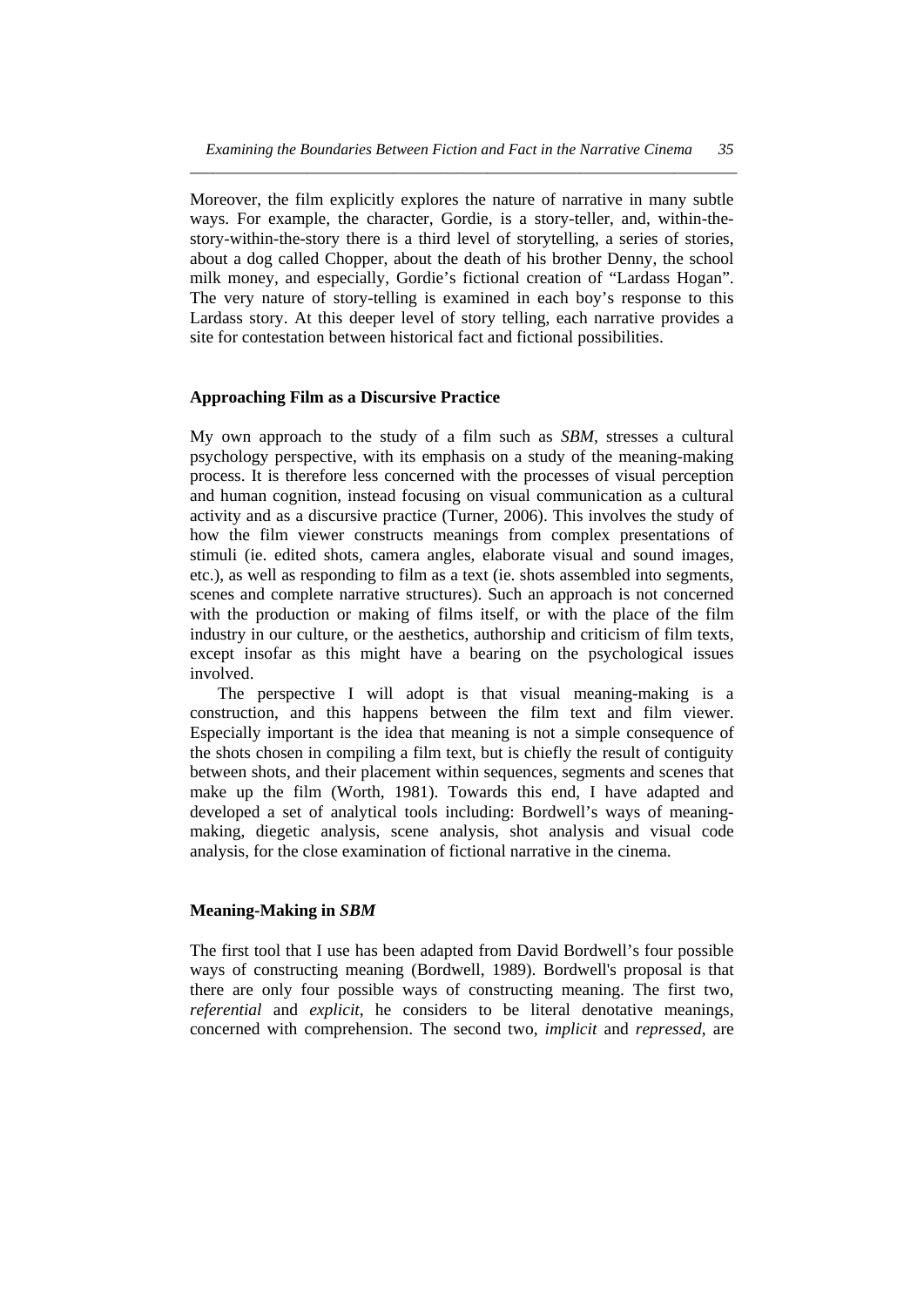Moreover, the film explicitly explores the nature of narrative in many subtle ways. For example, the character, Gordie, is a story-teller, and, within-thestory-within-the-story there is a third level of storytelling, a series of stories, about a dog called Chopper, about the death of his brother Denny, the school milk money, and especially, Gordie's fictional creation of "Lardass Hogan". The very nature of story-telling is examined in each boy's response to this Lardass story. At this deeper level of story telling, each narrative provides a site for contestation between historical fact and fictional possibilities.

#### **Approaching Film as a Discursive Practice**

My own approach to the study of a film such as *SBM,* stresses a cultural psychology perspective, with its emphasis on a study of the meaning-making process. It is therefore less concerned with the processes of visual perception and human cognition, instead focusing on visual communication as a cultural activity and as a discursive practice (Turner, 2006). This involves the study of how the film viewer constructs meanings from complex presentations of stimuli (ie. edited shots, camera angles, elaborate visual and sound images, etc.), as well as responding to film as a text (ie. shots assembled into segments, scenes and complete narrative structures). Such an approach is not concerned with the production or making of films itself, or with the place of the film industry in our culture, or the aesthetics, authorship and criticism of film texts, except insofar as this might have a bearing on the psychological issues involved.

 The perspective I will adopt is that visual meaning-making is a construction, and this happens between the film text and film viewer. Especially important is the idea that meaning is not a simple consequence of the shots chosen in compiling a film text, but is chiefly the result of contiguity between shots, and their placement within sequences, segments and scenes that make up the film (Worth, 1981). Towards this end, I have adapted and developed a set of analytical tools including: Bordwell's ways of meaningmaking, diegetic analysis, scene analysis, shot analysis and visual code analysis, for the close examination of fictional narrative in the cinema.

#### **Meaning-Making in** *SBM*

The first tool that I use has been adapted from David Bordwell's four possible ways of constructing meaning (Bordwell, 1989). Bordwell's proposal is that there are only four possible ways of constructing meaning. The first two, *referential* and *explicit*, he considers to be literal denotative meanings, concerned with comprehension. The second two, *implicit* and *repressed*, are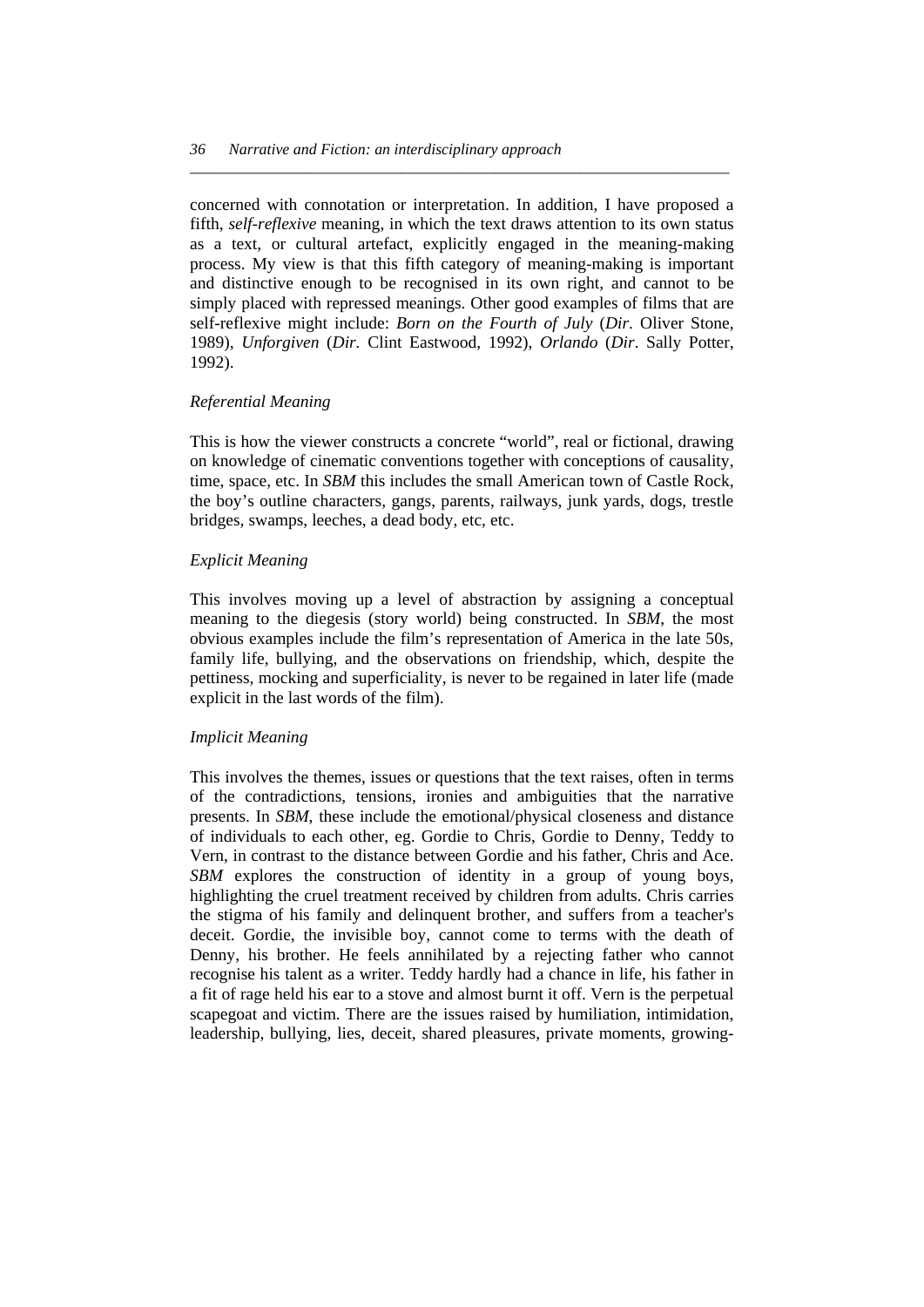concerned with connotation or interpretation. In addition, I have proposed a fifth, *self-reflexive* meaning, in which the text draws attention to its own status as a text, or cultural artefact, explicitly engaged in the meaning-making process. My view is that this fifth category of meaning-making is important and distinctive enough to be recognised in its own right, and cannot to be simply placed with repressed meanings. Other good examples of films that are self-reflexive might include: *Born on the Fourth of July* (*Dir*. Oliver Stone, 1989), *Unforgiven* (*Dir.* Clint Eastwood, 1992), *Orlando* (*Dir*. Sally Potter, 1992).

*\_\_\_\_\_\_\_\_\_\_\_\_\_\_\_\_\_\_\_\_\_\_\_\_\_\_\_\_\_\_\_\_\_\_\_\_\_\_\_\_\_\_\_\_\_\_\_\_\_\_\_\_\_\_\_\_\_\_\_\_\_\_\_\_\_\_\_\_\_* 

#### *Referential Meaning*

This is how the viewer constructs a concrete "world", real or fictional, drawing on knowledge of cinematic conventions together with conceptions of causality, time, space, etc. In *SBM* this includes the small American town of Castle Rock, the boy's outline characters, gangs, parents, railways, junk yards, dogs, trestle bridges, swamps, leeches, a dead body, etc, etc.

#### *Explicit Meaning*

This involves moving up a level of abstraction by assigning a conceptual meaning to the diegesis (story world) being constructed. In *SBM*, the most obvious examples include the film's representation of America in the late 50s, family life, bullying, and the observations on friendship, which, despite the pettiness, mocking and superficiality, is never to be regained in later life (made explicit in the last words of the film).

#### *Implicit Meaning*

This involves the themes, issues or questions that the text raises, often in terms of the contradictions, tensions, ironies and ambiguities that the narrative presents. In *SBM*, these include the emotional/physical closeness and distance of individuals to each other, eg. Gordie to Chris, Gordie to Denny, Teddy to Vern, in contrast to the distance between Gordie and his father, Chris and Ace. *SBM* explores the construction of identity in a group of young boys, highlighting the cruel treatment received by children from adults. Chris carries the stigma of his family and delinquent brother, and suffers from a teacher's deceit. Gordie, the invisible boy, cannot come to terms with the death of Denny, his brother. He feels annihilated by a rejecting father who cannot recognise his talent as a writer. Teddy hardly had a chance in life, his father in a fit of rage held his ear to a stove and almost burnt it off. Vern is the perpetual scapegoat and victim. There are the issues raised by humiliation, intimidation, leadership, bullying, lies, deceit, shared pleasures, private moments, growing-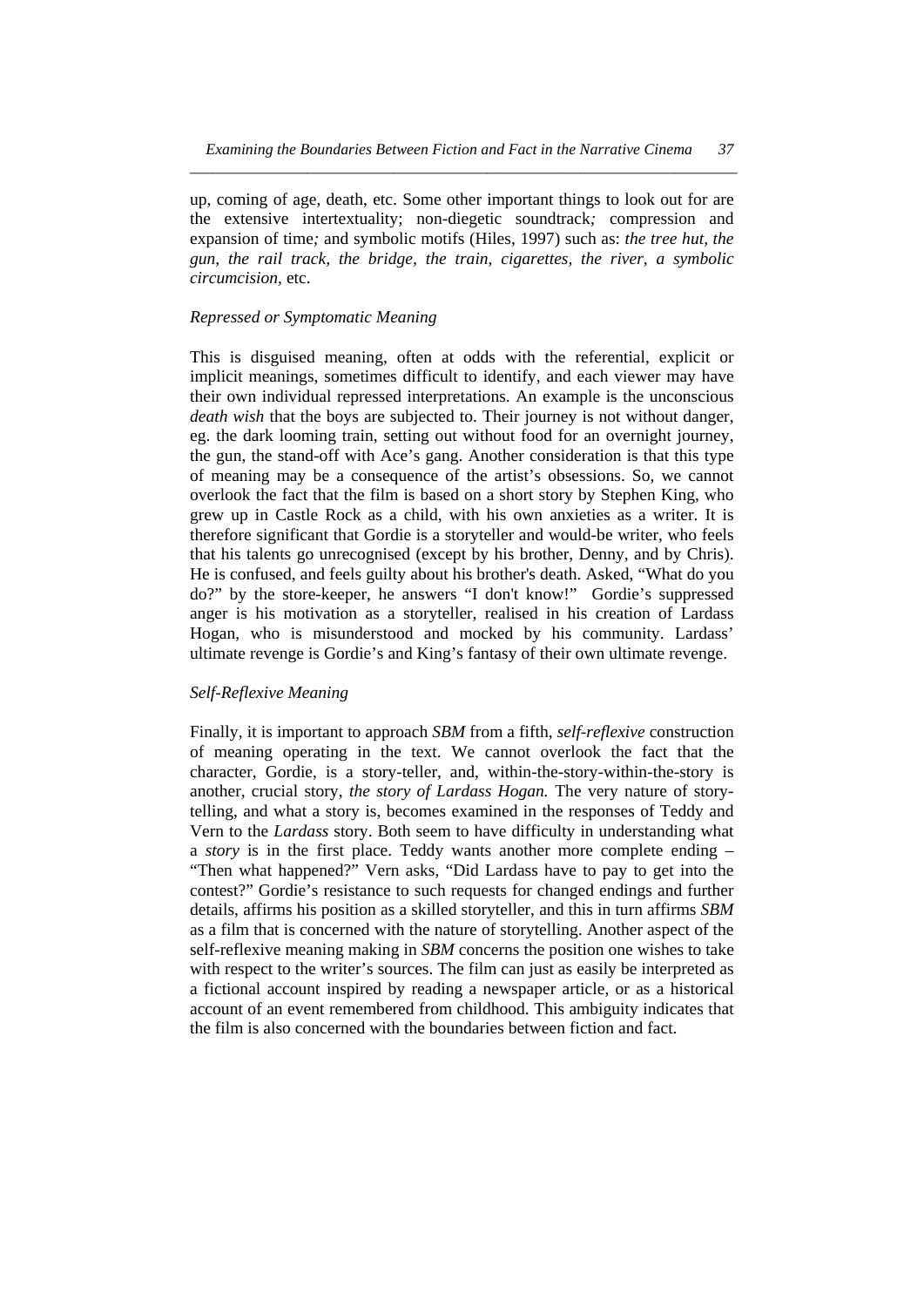up, coming of age, death, etc. Some other important things to look out for are the extensive intertextuality; non-diegetic soundtrack*;* compression and expansion of time*;* and symbolic motifs (Hiles, 1997) such as: *the tree hut, the gun, the rail track, the bridge, the train, cigarettes, the river, a symbolic circumcision,* etc.

#### *Repressed or Symptomatic Meaning*

This is disguised meaning, often at odds with the referential, explicit or implicit meanings, sometimes difficult to identify, and each viewer may have their own individual repressed interpretations. An example is the unconscious *death wish* that the boys are subjected to. Their journey is not without danger, eg. the dark looming train, setting out without food for an overnight journey, the gun, the stand-off with Ace's gang. Another consideration is that this type of meaning may be a consequence of the artist's obsessions. So, we cannot overlook the fact that the film is based on a short story by Stephen King, who grew up in Castle Rock as a child, with his own anxieties as a writer. It is therefore significant that Gordie is a storyteller and would-be writer, who feels that his talents go unrecognised (except by his brother, Denny, and by Chris). He is confused, and feels guilty about his brother's death. Asked, "What do you do?" by the store-keeper, he answers "I don't know!" Gordie's suppressed anger is his motivation as a storyteller, realised in his creation of Lardass Hogan, who is misunderstood and mocked by his community. Lardass' ultimate revenge is Gordie's and King's fantasy of their own ultimate revenge.

#### *Self-Reflexive Meaning*

Finally, it is important to approach *SBM* from a fifth, *self-reflexive* construction of meaning operating in the text. We cannot overlook the fact that the character, Gordie, is a story-teller, and, within-the-story-within-the-story is another, crucial story, *the story of Lardass Hogan.* The very nature of storytelling, and what a story is, becomes examined in the responses of Teddy and Vern to the *Lardass* story. Both seem to have difficulty in understanding what a *story* is in the first place. Teddy wants another more complete ending – "Then what happened?" Vern asks, "Did Lardass have to pay to get into the contest?" Gordie's resistance to such requests for changed endings and further details, affirms his position as a skilled storyteller, and this in turn affirms *SBM* as a film that is concerned with the nature of storytelling. Another aspect of the self-reflexive meaning making in *SBM* concerns the position one wishes to take with respect to the writer's sources. The film can just as easily be interpreted as a fictional account inspired by reading a newspaper article, or as a historical account of an event remembered from childhood. This ambiguity indicates that the film is also concerned with the boundaries between fiction and fact.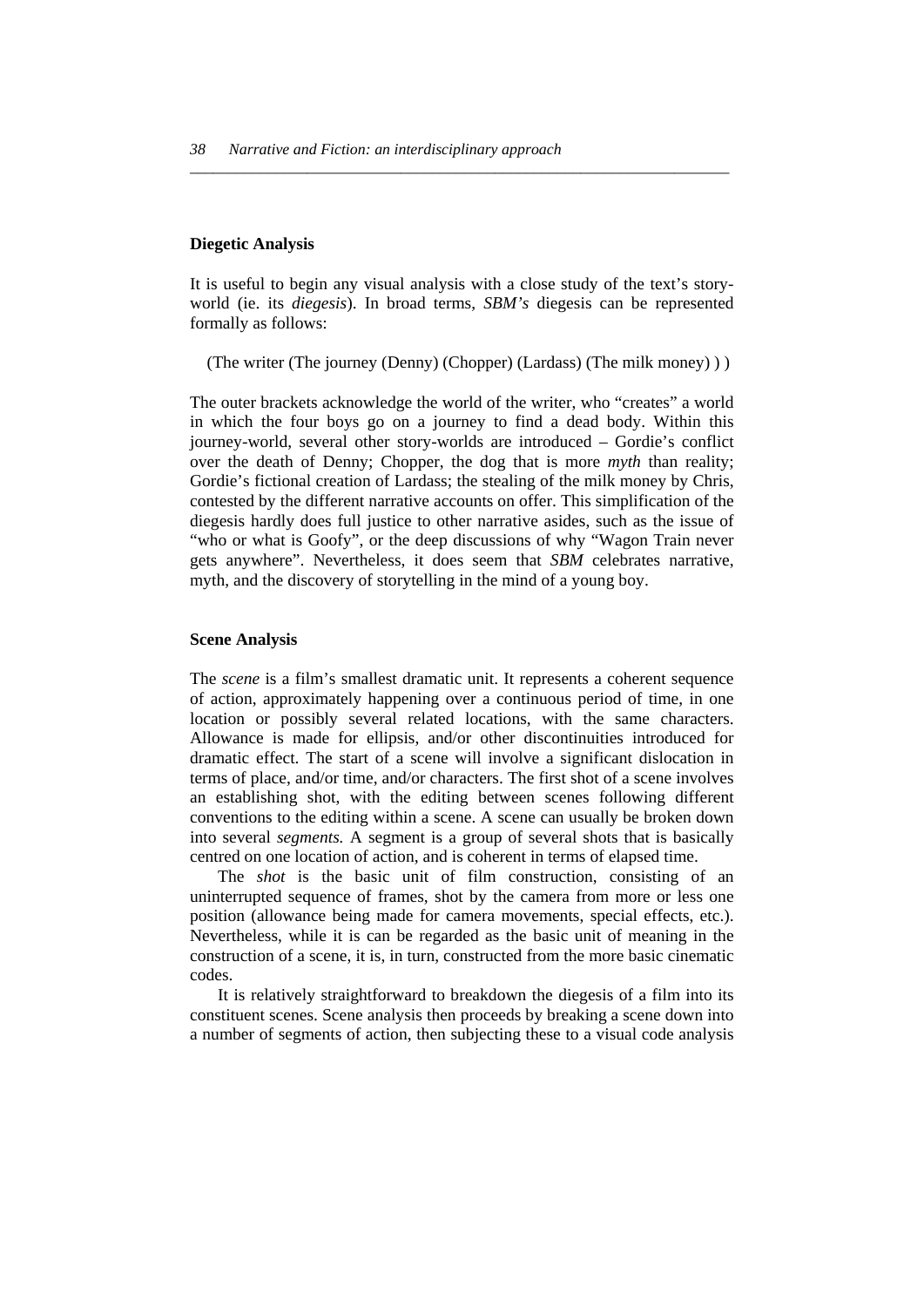#### **Diegetic Analysis**

It is useful to begin any visual analysis with a close study of the text's storyworld (ie. its *diegesis*). In broad terms, *SBM's* diegesis can be represented formally as follows:

*\_\_\_\_\_\_\_\_\_\_\_\_\_\_\_\_\_\_\_\_\_\_\_\_\_\_\_\_\_\_\_\_\_\_\_\_\_\_\_\_\_\_\_\_\_\_\_\_\_\_\_\_\_\_\_\_\_\_\_\_\_\_\_\_\_\_\_\_\_* 

(The writer (The journey (Denny) (Chopper) (Lardass) (The milk money) ) )

The outer brackets acknowledge the world of the writer, who "creates" a world in which the four boys go on a journey to find a dead body. Within this journey-world, several other story-worlds are introduced – Gordie's conflict over the death of Denny; Chopper, the dog that is more *myth* than reality; Gordie's fictional creation of Lardass; the stealing of the milk money by Chris, contested by the different narrative accounts on offer. This simplification of the diegesis hardly does full justice to other narrative asides, such as the issue of "who or what is Goofy", or the deep discussions of why "Wagon Train never gets anywhere". Nevertheless, it does seem that *SBM* celebrates narrative, myth, and the discovery of storytelling in the mind of a young boy.

#### **Scene Analysis**

The *scene* is a film's smallest dramatic unit. It represents a coherent sequence of action, approximately happening over a continuous period of time, in one location or possibly several related locations, with the same characters. Allowance is made for ellipsis, and/or other discontinuities introduced for dramatic effect. The start of a scene will involve a significant dislocation in terms of place, and/or time, and/or characters. The first shot of a scene involves an establishing shot, with the editing between scenes following different conventions to the editing within a scene. A scene can usually be broken down into several *segments.* A segment is a group of several shots that is basically centred on one location of action, and is coherent in terms of elapsed time.

 The *shot* is the basic unit of film construction, consisting of an uninterrupted sequence of frames, shot by the camera from more or less one position (allowance being made for camera movements, special effects, etc.). Nevertheless, while it is can be regarded as the basic unit of meaning in the construction of a scene, it is, in turn, constructed from the more basic cinematic codes.

 It is relatively straightforward to breakdown the diegesis of a film into its constituent scenes. Scene analysis then proceeds by breaking a scene down into a number of segments of action, then subjecting these to a visual code analysis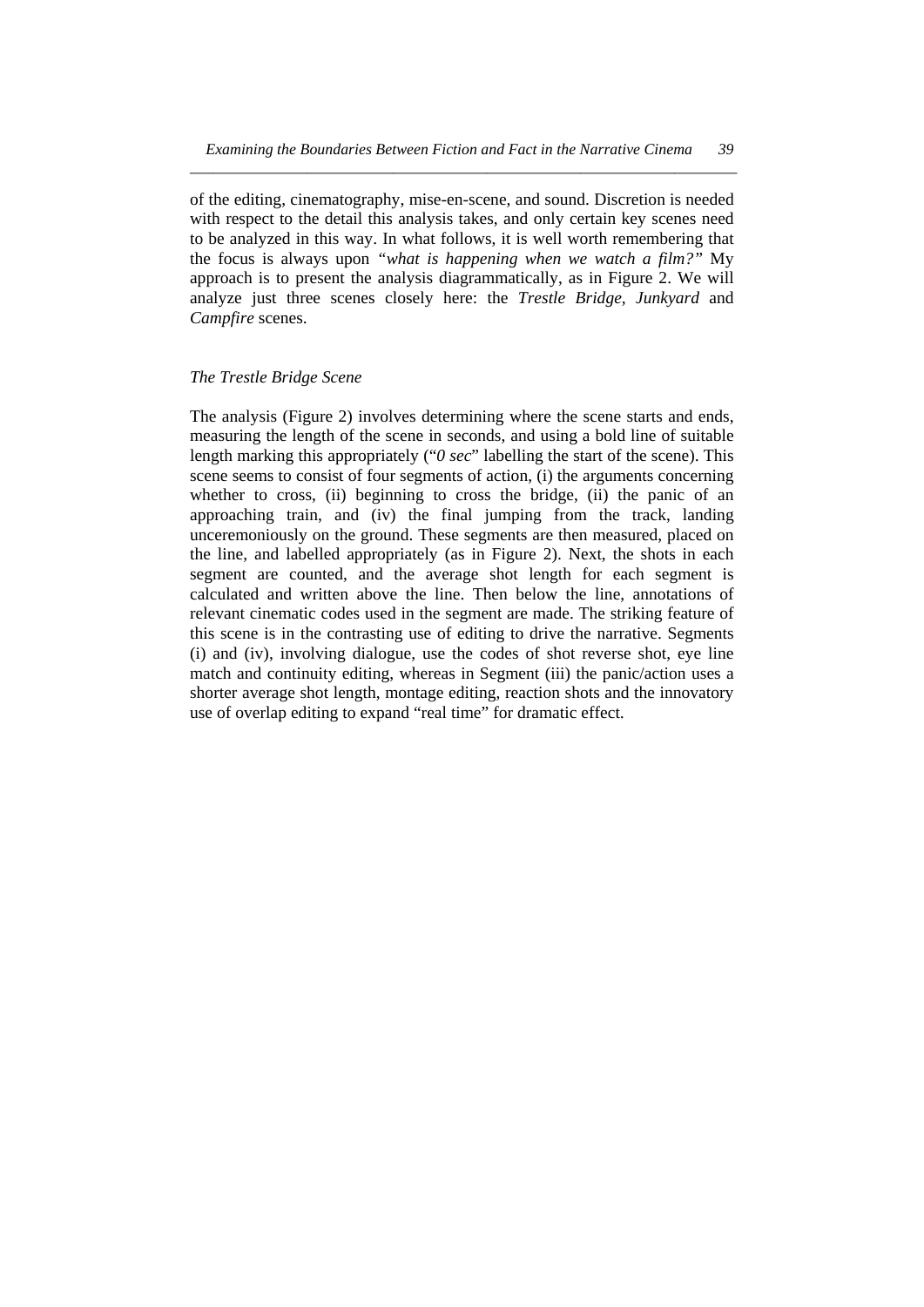of the editing, cinematography, mise-en-scene, and sound. Discretion is needed with respect to the detail this analysis takes, and only certain key scenes need to be analyzed in this way. In what follows, it is well worth remembering that the focus is always upon *"what is happening when we watch a film?"* My approach is to present the analysis diagrammatically, as in Figure 2. We will analyze just three scenes closely here: the *Trestle Bridge, Junkyard* and *Campfire* scenes.

#### *The Trestle Bridge Scene*

The analysis (Figure 2) involves determining where the scene starts and ends, measuring the length of the scene in seconds, and using a bold line of suitable length marking this appropriately ("*0 sec*" labelling the start of the scene). This scene seems to consist of four segments of action, (i) the arguments concerning whether to cross, (ii) beginning to cross the bridge, (ii) the panic of an approaching train, and (iv) the final jumping from the track, landing unceremoniously on the ground. These segments are then measured, placed on the line, and labelled appropriately (as in Figure 2). Next, the shots in each segment are counted, and the average shot length for each segment is calculated and written above the line. Then below the line, annotations of relevant cinematic codes used in the segment are made. The striking feature of this scene is in the contrasting use of editing to drive the narrative. Segments (i) and (iv), involving dialogue, use the codes of shot reverse shot, eye line match and continuity editing, whereas in Segment (iii) the panic/action uses a shorter average shot length, montage editing, reaction shots and the innovatory use of overlap editing to expand "real time" for dramatic effect.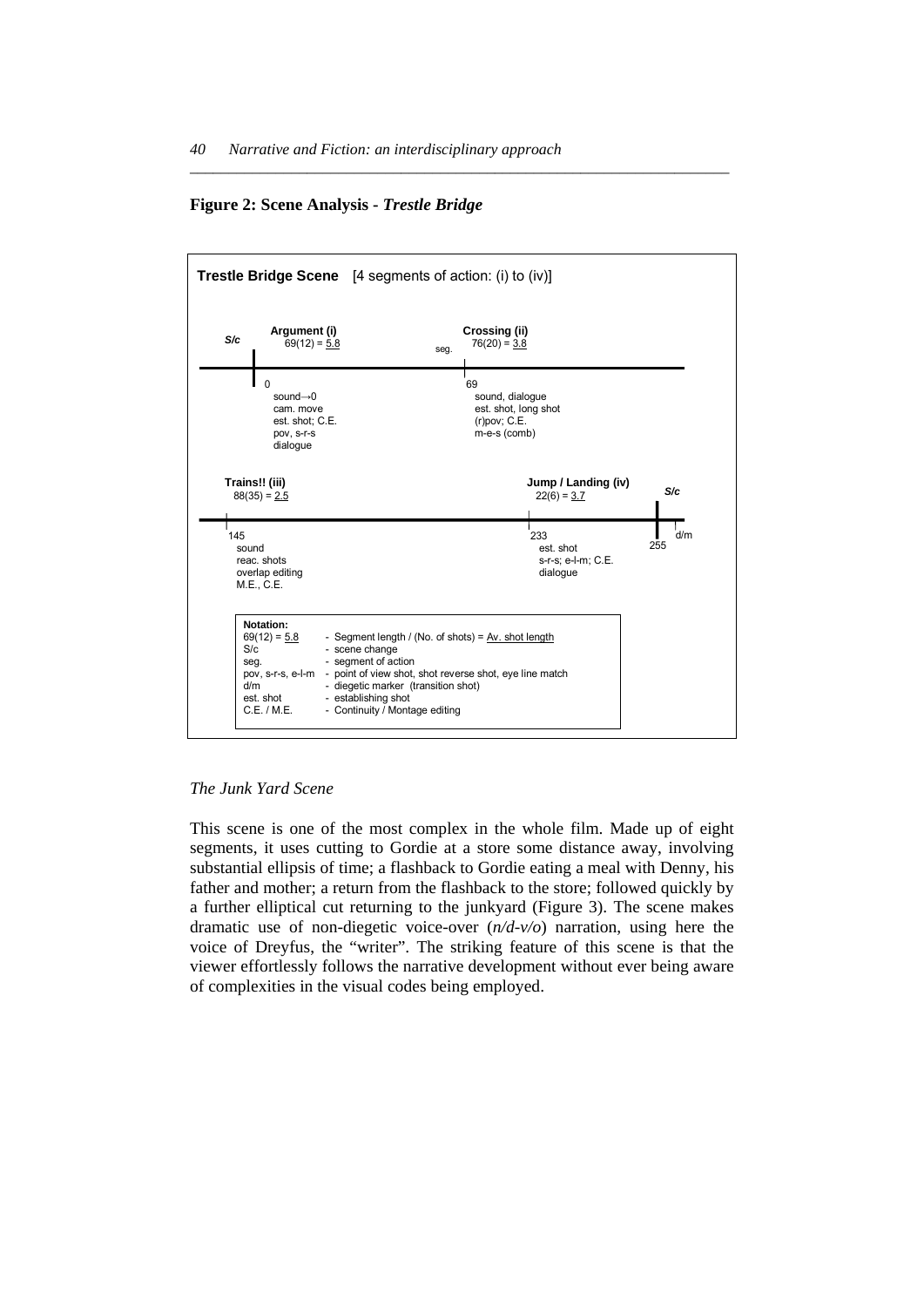#### **Figure 2: Scene Analysis -** *Trestle Bridge*



*\_\_\_\_\_\_\_\_\_\_\_\_\_\_\_\_\_\_\_\_\_\_\_\_\_\_\_\_\_\_\_\_\_\_\_\_\_\_\_\_\_\_\_\_\_\_\_\_\_\_\_\_\_\_\_\_\_\_\_\_\_\_\_\_\_\_\_\_\_* 

*The Junk Yard Scene* 

This scene is one of the most complex in the whole film. Made up of eight segments, it uses cutting to Gordie at a store some distance away, involving substantial ellipsis of time; a flashback to Gordie eating a meal with Denny, his father and mother; a return from the flashback to the store; followed quickly by a further elliptical cut returning to the junkyard (Figure 3). The scene makes dramatic use of non-diegetic voice-over (*n/d-v/o*) narration, using here the voice of Dreyfus, the "writer". The striking feature of this scene is that the viewer effortlessly follows the narrative development without ever being aware of complexities in the visual codes being employed.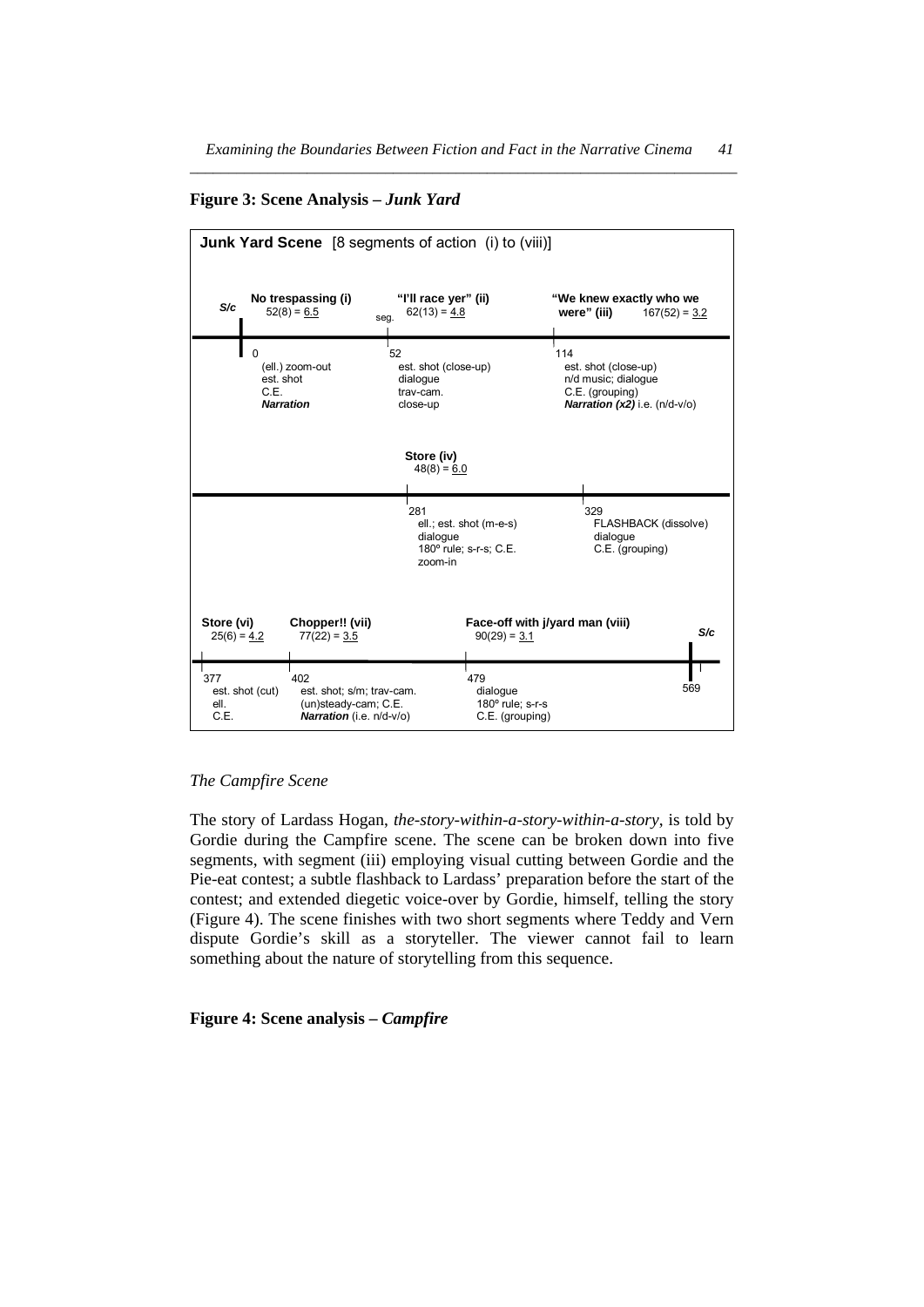**Figure 3: Scene Analysis –** *Junk Yard*



#### *The Campfire Scene*

The story of Lardass Hogan, *the-story-within-a-story-within-a-story*, is told by Gordie during the Campfire scene. The scene can be broken down into five segments, with segment (iii) employing visual cutting between Gordie and the Pie-eat contest; a subtle flashback to Lardass' preparation before the start of the contest; and extended diegetic voice-over by Gordie, himself, telling the story (Figure 4). The scene finishes with two short segments where Teddy and Vern dispute Gordie's skill as a storyteller. The viewer cannot fail to learn something about the nature of storytelling from this sequence.

#### **Figure 4: Scene analysis –** *Campfire*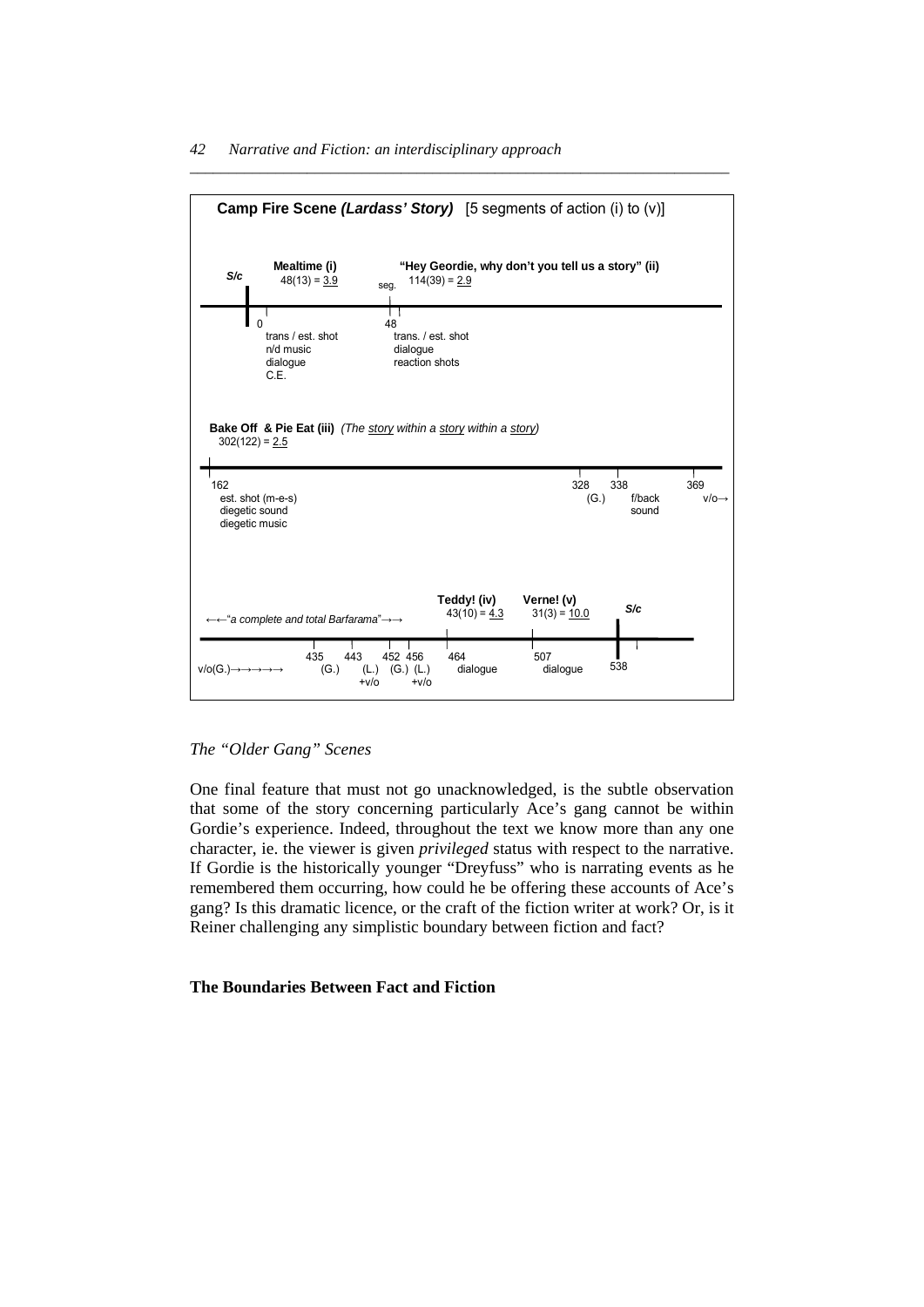

#### *Narrative and Fiction: an interdisciplinary approach 42*

#### *The "Older Gang" Scenes*

One final feature that must not go unacknowledged, is the subtle observation that some of the story concerning particularly Ace's gang cannot be within Gordie's experience. Indeed, throughout the text we know more than any one character, ie. the viewer is given *privileged* status with respect to the narrative. If Gordie is the historically younger "Dreyfuss" who is narrating events as he remembered them occurring, how could he be offering these accounts of Ace's gang? Is this dramatic licence, or the craft of the fiction writer at work? Or, is it Reiner challenging any simplistic boundary between fiction and fact?

### **The Boundaries Between Fact and Fiction**